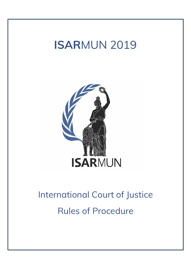## ISARMUN 2019



# International Court of Justice Rules of Procedure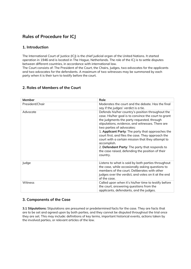### Rules of Procedure for ICJ

#### 1. Introduction

The International Court of Justice (ICJ) is the chief judicial organ of the United Nations. It started operation in 1946 and is located in The Hague, Netherlands. The role of the ICJ is to settle disputes between different countries, in accordance with international law.

The Court consists of: The President of the Court, the Chairs, Judges, two advocates for the applicants and two advocates for the defendants. A maximum of two witnesses may be summoned by each party when it is their turn to testify before the court.

| Member          | Role                                                                                                                                                                                                                                                                                                                                                                                                                                                                                                                                      |
|-----------------|-------------------------------------------------------------------------------------------------------------------------------------------------------------------------------------------------------------------------------------------------------------------------------------------------------------------------------------------------------------------------------------------------------------------------------------------------------------------------------------------------------------------------------------------|
| President/Chair | Moderates the court and the debate. Has the final<br>say if the judges' verdict is a tie.                                                                                                                                                                                                                                                                                                                                                                                                                                                 |
| Advocate        | Defends his/her country's position throughout the<br>case. His/her goal is to convince the court to grant<br>the judgments the party requested, through<br>stipulations, evidence, and witnesses. There are<br>two parties of advocates:<br>1. Applicant Party: The party that approaches the<br>court first, and files the case. They approach the<br>court with a certain mission that they attempt to<br>accomplish.<br>2. Defendant Party: The party that responds to<br>the case raised, defending the position of their<br>country. |
| Judge           | Listens to what is said by both parties throughout<br>the case, while occasionally asking questions to<br>members of the court. Deliberates with other<br>judges over the verdict, and votes on it at the end<br>of the case.                                                                                                                                                                                                                                                                                                             |
| Witness         | Called upon when it's his/her time to testify before<br>the court, answering questions from the<br>applicants, defendants, and the judges.                                                                                                                                                                                                                                                                                                                                                                                                |

#### 2. Roles of Members of the Court

#### 3. Components of the Case

3.1 Stipulations: Stipulations are presumed or predetermined facts for the case. They are facts that are to be set and agreed upon by both parties, and they cannot be disputed throughout the trial once they are set. This may include: definitions of key terms, important historical events, actions taken by the involved parties, or relevant articles of the law.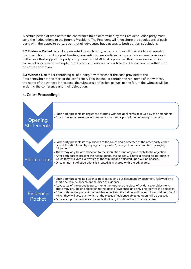A certain period of time before the conference (to be determined by the President), each party must send their stipulations to the forum's President. The President will then share the stipulations of each party with the opposite party, such that all advocates have access to both parties' stipulations.

3.2 Evidence Packet: A packet presented by each party, which contains all their evidence regarding the case. This can include past treaties, conventions, news articles, or any other documents relevant to the case that support the party's argument. In HIAMUN, it is preferred that the evidence packet consist of only relevant excerpts from such documents (i.e. one article of a UN convention rather than an entire convention).

3.3 Witness List: A list containing all of a party's witnesses for the case provided to the President/Chair at the start of the conference. This list should contain the real name of the witness, the name of the witness in the case, the witness's profession, as well as the forum the witness will be in during the conference and their delegation.

#### 4. Court Proceedings

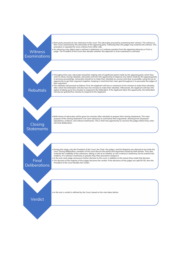

• Each party presents its two witnesses to the court. The advocates proceed by examining their witness. The witness is<br>then cross-examined by the advocates of the opposing party. Following that, the judges may examine the Each party presents its two witnesses to the court. The advocates proceed by examining their witness. The witness is<br>then cross-examined by the advocates of the opposing party. Following that, the judges may examine the wi procedure is repeated for every witness from either side. • Each party presents its two witnesses to the court. The advocates proceed by examining their witness. The witness is then cross-examined by the advocates of the opposing party. Following that, the judges may examine the

. An advocacy may object upon a witness's statement, or a witness question from the opposing advocacy or from a<br>Witness judge. The President of the Court then decides whether this objection is to be sustained or overruled. judge. The President of the Court then decides whether this objection is to be sustained or overruled.

**Rebuttals** 

• Each party presents its two witnesses to the court. The advocates proceed by examining their witness. The witness is<br>then cross-examined by the advocates of the opposing party. Following that, the judges may examine the wish to refute. During rebuttals, advocates will have the opportunity to disprove any claims made by the opposing party<br>in previous proceedings. Advocates should try to make their rebuttals as concise and clear as possible opportunity to get their argument together, keeping in mind that their main goal throughout is to persuade the judges of their argument. • Throughout the case, advocates should be making note of significant points made by the opposing advocacy or from a<br>
• An advocacy may object upon a witness's statement, or a witness question from the opposing advocacy or is ho refute. During rebuttals, advocates will have the opportunity to disprove any claims made by the opposing party<br>in previous procedings. Advocates should try to make their rebuttals as concise and clear as possible,

after which the Defendant will also have ten minutes to make their rebuttals. Afterwards, the Applicant will have the<br>option of taking up to five minutes to respond to the Defendant. If the Applicant takes this opportunity will also be granted five minutes to respond to the Applicant.

**Closing Statements**  • Both teams of advocates will be given ten minutes after rebuttals to prepare their closing statements. The main<br>purpose of the closing statement is for each advocacy to summarize their arguments, drawing from all passed<br> court. During deliberation, members of the court discuss the points and arguments raised by both parties. They also<br>evaluate the credibility of the witnesses, taking a vote as to whether or not a witness's testimony can be evidence. If a witness's testimony is passed, they then proceed to analyze it. purpose of the closing statement is for each advocacy to summarize their arguments, drawing from all passed<br>stipulations, evidence, and witness testimonies. This is their last opportunity to convince the judges before they • In the end, a verdict is defined by the Court, based on the vote taken before.<br>• In the end, a verdictive is destinantly is passed, they then proceed to analyze it<br>• In the end, ach judge amounces his/her decision to th

purpose of the closing statement is for each advocacy to summarize their arguments, drawing from all passed<br>stipulations, evidence, and witness testimonies. This is their last opportunity to convince the judges before they

• In the end, each judge announces his/her decision to the court, in addition to the reason they made that decision.<br>• The decision of the majority of the judges becomes the verdict. If the decisions of the judges are spli **Deliberations** 

**Verdict**